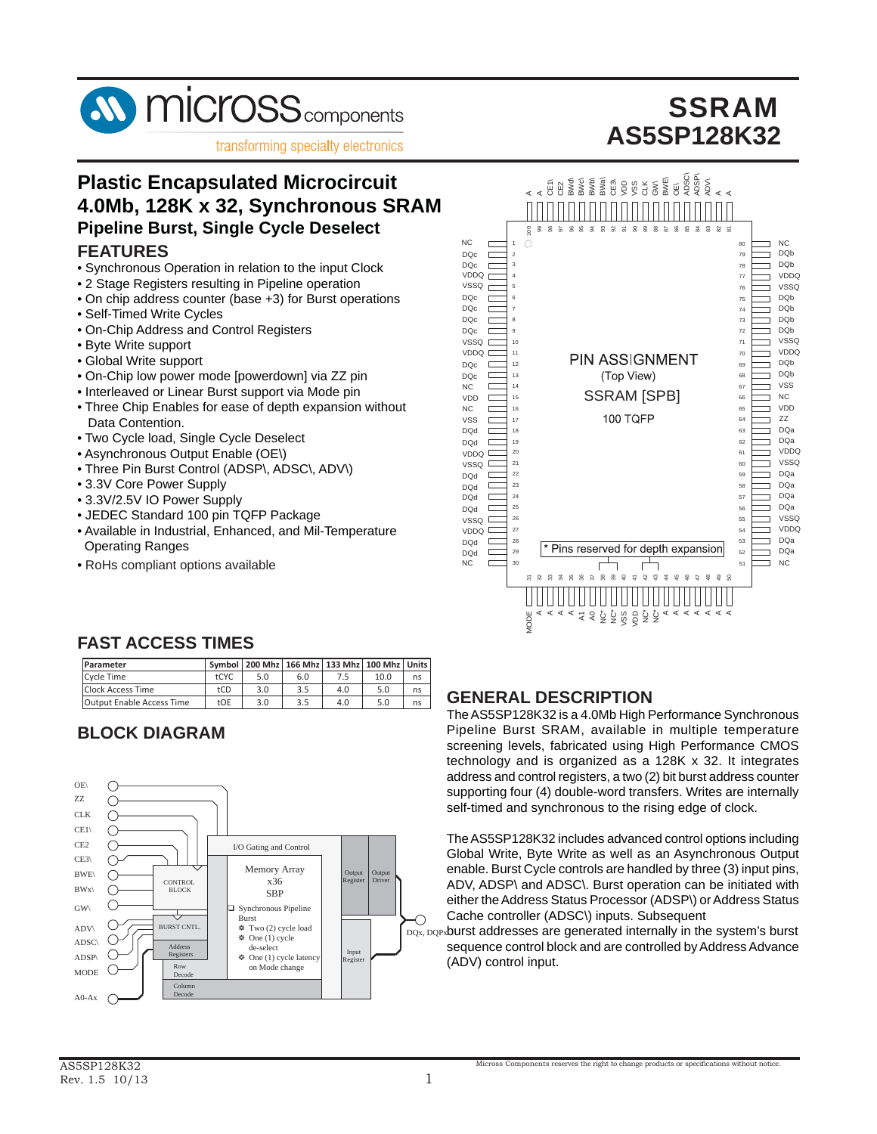

transforming specialty electronics

# **SSRAM AS5SP128K32**

## **Plastic Encapsulated Microcircuit 4.0Mb, 128K x 32, Synchronous SRAM Pipeline Burst, Single Cycle Deselect FEATURES**

- Synchronous Operation in relation to the input Clock
- 2 Stage Registers resulting in Pipeline operation
- On chip address counter (base +3) for Burst operations
- Self-Timed Write Cycles
- On-Chip Address and Control Registers
- Byte Write support
- Global Write support
- On-Chip low power mode [powerdown] via ZZ pin
- Interleaved or Linear Burst support via Mode pin
- Three Chip Enables for ease of depth expansion without Data Contention.
- Two Cycle load, Single Cycle Deselect
- Asynchronous Output Enable (OE\)
- Three Pin Burst Control (ADSP\, ADSC\, ADV\)
- 3.3V Core Power Supply
- 3.3V/2.5V IO Power Supply
- JEDEC Standard 100 pin TQFP Package
- Available in Industrial, Enhanced, and Mil-Temperature Operating Ranges
- RoHs compliant options available



### **FAST ACCESS TIMES**

| Parameter                        |            | Symbol   200 Mhz   166 Mhz   133 Mhz   100 Mhz   Units |     |     |      |    |
|----------------------------------|------------|--------------------------------------------------------|-----|-----|------|----|
| Cycle Time                       | tCYC       | 5.0                                                    | 6.0 | 7.5 | 10.0 | ns |
| Clock Access Time                | tCD        | 3.0                                                    | 3.5 | 4.0 | 5.0  | ns |
| <b>Output Enable Access Time</b> | <b>tOF</b> | 3.0                                                    | 3.5 | 4.0 | 5.0  | ns |

# **BLOCK DIAGRAM**



### **GENERAL DESCRIPTION**

The AS5SP128K32 is a 4.0Mb High Performance Synchronous Pipeline Burst SRAM, available in multiple temperature screening levels, fabricated using High Performance CMOS technology and is organized as a 128K x 32. It integrates address and control registers, a two (2) bit burst address counter supporting four (4) double-word transfers. Writes are internally self-timed and synchronous to the rising edge of clock.

The AS5SP128K32 includes advanced control options including Global Write, Byte Write as well as an Asynchronous Output enable. Burst Cycle controls are handled by three (3) input pins, ADV, ADSP\ and ADSC\. Burst operation can be initiated with either the Address Status Processor (ADSP\) or Address Status Cache controller (ADSC\) inputs. Subsequent

DQx, DQPx**burst addresses are generated internally in the system's burst** sequence control block and are controlled by Address Advance (ADV) control input.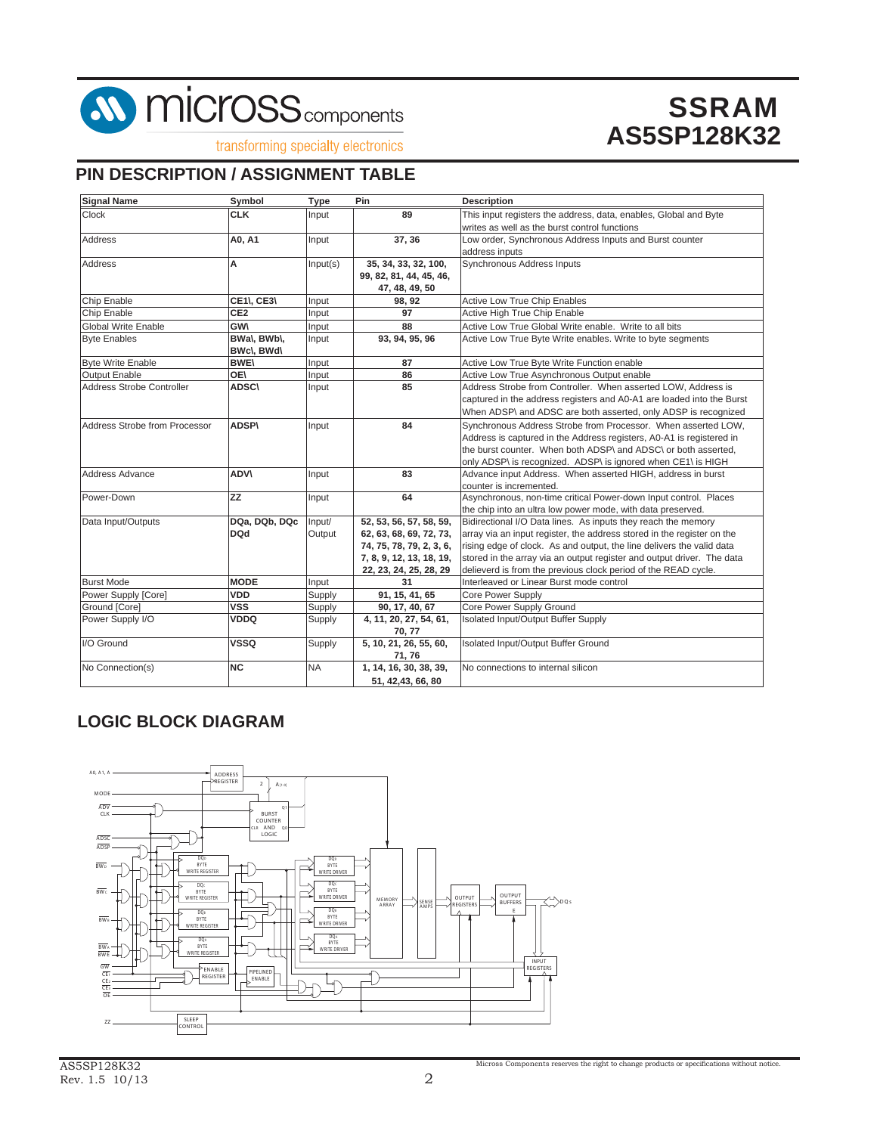

transforming specialty electronics

### **PIN DESCRIPTION / ASSIGNMENT TABLE**

| <b>Signal Name</b>            | Symbol            | <b>Type</b> | Pin                      | <b>Description</b>                                                     |
|-------------------------------|-------------------|-------------|--------------------------|------------------------------------------------------------------------|
| Clock                         | <b>CLK</b>        | Input       | 89                       | This input registers the address, data, enables, Global and Byte       |
|                               |                   |             |                          | writes as well as the burst control functions                          |
| <b>Address</b>                | A0, A1            | Input       | 37, 36                   | Low order, Synchronous Address Inputs and Burst counter                |
|                               |                   |             |                          | address inputs                                                         |
| <b>Address</b>                | A                 | Input(s)    | 35, 34, 33, 32, 100,     | Synchronous Address Inputs                                             |
|                               |                   |             | 99, 82, 81, 44, 45, 46,  |                                                                        |
|                               |                   |             | 47, 48, 49, 50           |                                                                        |
| Chip Enable                   | <b>CE1\, CE3\</b> | Input       | 98, 92                   | <b>Active Low True Chip Enables</b>                                    |
| Chip Enable                   | CE <sub>2</sub>   | Input       | 97                       | Active High True Chip Enable                                           |
| <b>Global Write Enable</b>    | <b>GW\</b>        | Input       | 88                       | Active Low True Global Write enable. Write to all bits                 |
| <b>Byte Enables</b>           | BWa\, BWb\,       | Input       | 93, 94, 95, 96           | Active Low True Byte Write enables. Write to byte segments             |
|                               | BWc\, BWd\        |             |                          |                                                                        |
| <b>Byte Write Enable</b>      | <b>BWE\</b>       | Input       | 87                       | Active Low True Byte Write Function enable                             |
| <b>Output Enable</b>          | <b>OE</b>         | Input       | 86                       | Active Low True Asynchronous Output enable                             |
| Address Strobe Controller     | <b>ADSC\</b>      | Input       | 85                       | Address Strobe from Controller. When asserted LOW, Address is          |
|                               |                   |             |                          | captured in the address registers and A0-A1 are loaded into the Burst  |
|                               |                   |             |                          | When ADSP\ and ADSC are both asserted, only ADSP is recognized         |
| Address Strobe from Processor | <b>ADSP\</b>      | Input       | 84                       | Synchronous Address Strobe from Processor. When asserted LOW.          |
|                               |                   |             |                          | Address is captured in the Address registers, A0-A1 is registered in   |
|                               |                   |             |                          | the burst counter. When both ADSP\ and ADSC\ or both asserted,         |
|                               |                   |             |                          | only ADSP\ is recognized. ADSP\ is ignored when CE1\ is HIGH           |
| Address Advance               | <b>ADVV</b>       | Input       | 83                       | Advance input Address. When asserted HIGH, address in burst            |
|                               |                   |             |                          | counter is incremented.                                                |
| Power-Down                    | <b>ZZ</b>         | Input       | 64                       | Asynchronous, non-time critical Power-down Input control. Places       |
|                               |                   |             |                          | the chip into an ultra low power mode, with data preserved.            |
| Data Input/Outputs            | DQa, DQb, DQc     | Input/      | 52, 53, 56, 57, 58, 59,  | Bidirectional I/O Data lines. As inputs they reach the memory          |
|                               | <b>DQd</b>        | Output      | 62, 63, 68, 69, 72, 73,  | array via an input register, the address stored in the register on the |
|                               |                   |             | 74, 75, 78, 79, 2, 3, 6, | rising edge of clock. As and output, the line delivers the valid data  |
|                               |                   |             | 7, 8, 9, 12, 13, 18, 19, | stored in the array via an output register and output driver. The data |
|                               |                   |             | 22, 23, 24, 25, 28, 29   | delieverd is from the previous clock period of the READ cycle.         |
| <b>Burst Mode</b>             | <b>MODE</b>       | Input       | 31                       | Interleaved or Linear Burst mode control                               |
| Power Supply [Core]           | <b>VDD</b>        | Supply      | 91, 15, 41, 65           | Core Power Supply                                                      |
| Ground [Core]                 | <b>VSS</b>        | Supply      | 90, 17, 40, 67           | Core Power Supply Ground                                               |
| Power Supply I/O              | <b>VDDQ</b>       | Supply      | 4, 11, 20, 27, 54, 61,   | Isolated Input/Output Buffer Supply                                    |
|                               |                   |             | 70, 77                   |                                                                        |
| I/O Ground                    | <b>VSSQ</b>       | Supply      | 5, 10, 21, 26, 55, 60,   | Isolated Input/Output Buffer Ground                                    |
|                               |                   |             | 71, 76                   |                                                                        |
| No Connection(s)              | <b>INC</b>        | <b>NA</b>   | 1, 14, 16, 30, 38, 39,   | No connections to internal silicon                                     |
|                               |                   |             | 51, 42, 43, 66, 80       |                                                                        |

## **LOGIC BLOCK DIAGRAM**

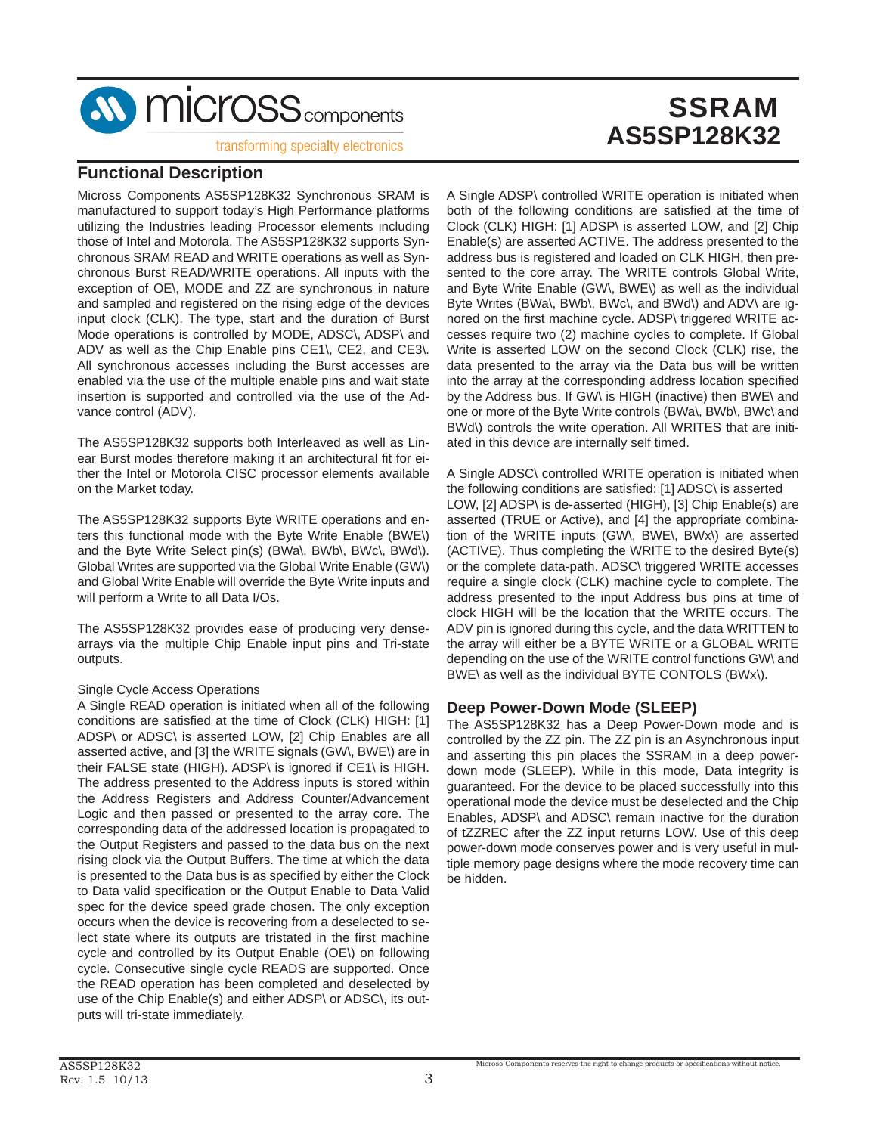

transforming specialty electronics

### **Functional Description**

Micross Components AS5SP128K32 Synchronous SRAM is manufactured to support today's High Performance platforms utilizing the Industries leading Processor elements including those of Intel and Motorola. The AS5SP128K32 supports Synchronous SRAM READ and WRITE operations as well as Synchronous Burst READ/WRITE operations. All inputs with the exception of OE\, MODE and ZZ are synchronous in nature and sampled and registered on the rising edge of the devices input clock (CLK). The type, start and the duration of Burst Mode operations is controlled by MODE, ADSC\, ADSP\ and ADV as well as the Chip Enable pins CE1\, CE2, and CE3\. All synchronous accesses including the Burst accesses are enabled via the use of the multiple enable pins and wait state insertion is supported and controlled via the use of the Advance control (ADV).

The AS5SP128K32 supports both Interleaved as well as Linear Burst modes therefore making it an architectural fit for either the Intel or Motorola CISC processor elements available on the Market today.

The AS5SP128K32 supports Byte WRITE operations and enters this functional mode with the Byte Write Enable (BWE\) and the Byte Write Select pin(s) (BWa\, BWb\, BWc\, BWd\). Global Writes are supported via the Global Write Enable (GW\) and Global Write Enable will override the Byte Write inputs and will perform a Write to all Data I/Os.

The AS5SP128K32 provides ease of producing very densearrays via the multiple Chip Enable input pins and Tri-state outputs.

#### Single Cycle Access Operations

A Single READ operation is initiated when all of the following conditions are satisfied at the time of Clock (CLK) HIGH: [1] ADSP\ or ADSC\ is asserted LOW, [2] Chip Enables are all asserted active, and [3] the WRITE signals (GW\, BWE\) are in their FALSE state (HIGH). ADSP\ is ignored if CE1\ is HIGH. The address presented to the Address inputs is stored within the Address Registers and Address Counter/Advancement Logic and then passed or presented to the array core. The corresponding data of the addressed location is propagated to the Output Registers and passed to the data bus on the next rising clock via the Output Buffers. The time at which the data is presented to the Data bus is as specified by either the Clock to Data valid specification or the Output Enable to Data Valid spec for the device speed grade chosen. The only exception occurs when the device is recovering from a deselected to select state where its outputs are tristated in the first machine cycle and controlled by its Output Enable (OE\) on following cycle. Consecutive single cycle READS are supported. Once the READ operation has been completed and deselected by use of the Chip Enable(s) and either ADSP\ or ADSC\, its outputs will tri-state immediately.

A Single ADSP\ controlled WRITE operation is initiated when both of the following conditions are satisfied at the time of Clock (CLK) HIGH: [1] ADSP\ is asserted LOW, and [2] Chip Enable(s) are asserted ACTIVE. The address presented to the address bus is registered and loaded on CLK HIGH, then presented to the core array. The WRITE controls Global Write, and Byte Write Enable (GW\, BWE\) as well as the individual Byte Writes (BWa\, BWb\, BWc\, and BWd\) and ADV\ are ignored on the first machine cycle. ADSP\ triggered WRITE accesses require two (2) machine cycles to complete. If Global Write is asserted LOW on the second Clock (CLK) rise, the data presented to the array via the Data bus will be written into the array at the corresponding address location specified by the Address bus. If GW\ is HIGH (inactive) then BWE\ and one or more of the Byte Write controls (BWa\, BWb\, BWc\ and BWd\) controls the write operation. All WRITES that are initiated in this device are internally self timed.

A Single ADSC\ controlled WRITE operation is initiated when the following conditions are satisfied: [1] ADSC\ is asserted LOW, [2] ADSP\ is de-asserted (HIGH), [3] Chip Enable(s) are asserted (TRUE or Active), and [4] the appropriate combination of the WRITE inputs (GW\, BWE\, BWx\) are asserted (ACTIVE). Thus completing the WRITE to the desired Byte(s) or the complete data-path. ADSC\ triggered WRITE accesses require a single clock (CLK) machine cycle to complete. The address presented to the input Address bus pins at time of clock HIGH will be the location that the WRITE occurs. The ADV pin is ignored during this cycle, and the data WRITTEN to the array will either be a BYTE WRITE or a GLOBAL WRITE depending on the use of the WRITE control functions GW\ and BWE\ as well as the individual BYTE CONTOLS (BWx\).

#### **Deep Power-Down Mode (SLEEP)**

The AS5SP128K32 has a Deep Power-Down mode and is controlled by the ZZ pin. The ZZ pin is an Asynchronous input and asserting this pin places the SSRAM in a deep powerdown mode (SLEEP). While in this mode, Data integrity is guaranteed. For the device to be placed successfully into this operational mode the device must be deselected and the Chip Enables, ADSP\ and ADSC\ remain inactive for the duration of tZZREC after the ZZ input returns LOW. Use of this deep power-down mode conserves power and is very useful in multiple memory page designs where the mode recovery time can be hidden.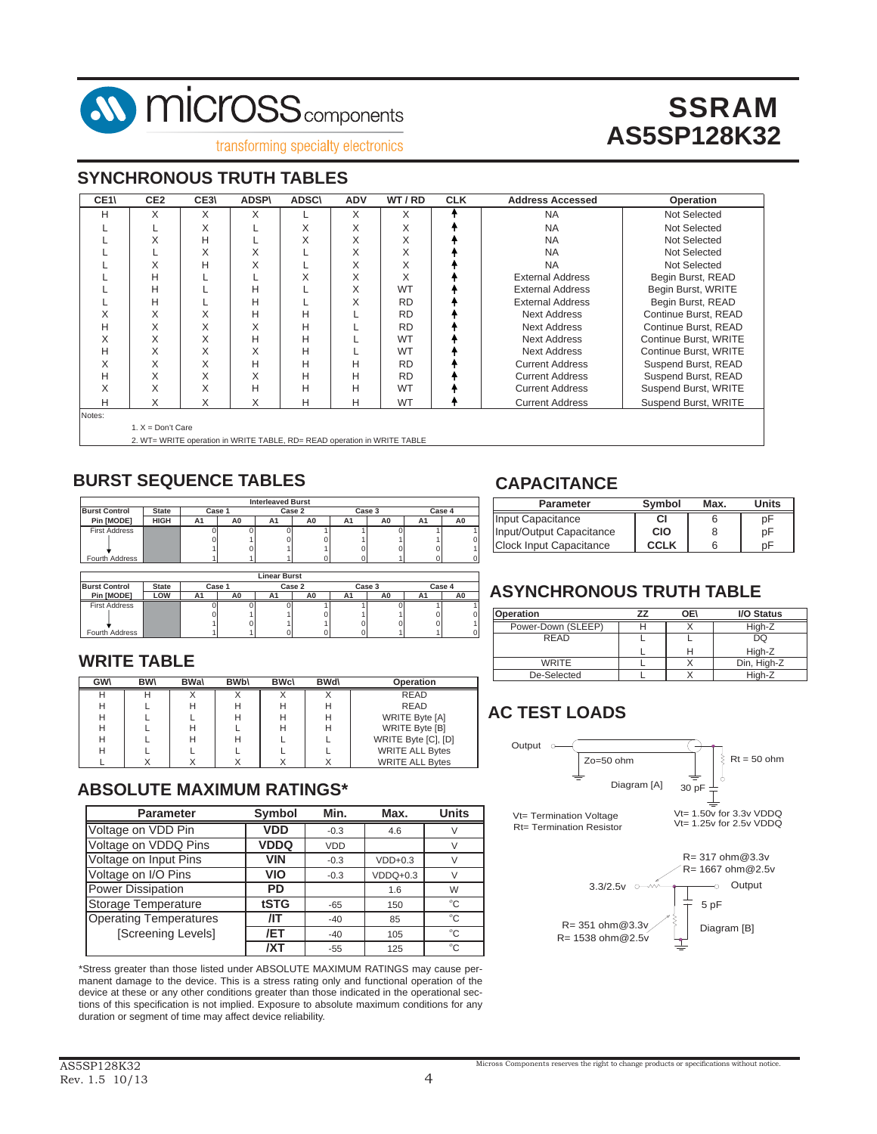

transforming specialty electronics

#### **SYNCHRONOUS TRUTH TABLES**

| CE1\   | CE <sub>2</sub>     | CE3\                                                                     | <b>ADSP\</b> | <b>ADSC\</b> | <b>ADV</b> | WT/RD     | <b>CLK</b> | <b>Address Accessed</b> | Operation             |
|--------|---------------------|--------------------------------------------------------------------------|--------------|--------------|------------|-----------|------------|-------------------------|-----------------------|
| Н      | X                   | X                                                                        | X            |              | X          | X         |            | <b>NA</b>               | Not Selected          |
|        |                     | X                                                                        |              | X            | X          | X         |            | <b>NA</b>               | Not Selected          |
|        | X                   | н                                                                        |              | X            | X          | X         |            | <b>NA</b>               | Not Selected          |
|        |                     | X                                                                        | X            |              | X          | X         |            | <b>NA</b>               | Not Selected          |
|        | X                   | н                                                                        | X            |              | X          | X         |            | <b>NA</b>               | Not Selected          |
|        | Н                   |                                                                          |              | X            | X          | X         |            | <b>External Address</b> | Begin Burst, READ     |
|        | н                   |                                                                          | Н            |              | X          | <b>WT</b> |            | <b>External Address</b> | Begin Burst, WRITE    |
|        | н                   |                                                                          | Н            |              | Χ          | <b>RD</b> |            | <b>External Address</b> | Begin Burst, READ     |
| X      | X                   | X                                                                        | Н            | н            |            | <b>RD</b> |            | <b>Next Address</b>     | Continue Burst, READ  |
| н      | X                   | X                                                                        | X            | н            |            | <b>RD</b> |            | <b>Next Address</b>     | Continue Burst, READ  |
| X      | X                   | X                                                                        | Н            | н            |            | WT        |            | <b>Next Address</b>     | Continue Burst, WRITE |
| н      | X                   | X                                                                        | X            | н            |            | WT        |            | <b>Next Address</b>     | Continue Burst, WRITE |
| X      | X                   | X                                                                        | Н            | н            | н          | <b>RD</b> |            | <b>Current Address</b>  | Suspend Burst, READ   |
| н      | X                   | X                                                                        | X            | H            | Н          | <b>RD</b> |            | <b>Current Address</b>  | Suspend Burst, READ   |
| X      | X                   | X                                                                        | Н            | Н            | Н          | WT        |            | <b>Current Address</b>  | Suspend Burst, WRITE  |
| Н      | X                   | X                                                                        | X            | н            | н          | <b>WT</b> |            | <b>Current Address</b>  | Suspend Burst, WRITE  |
| Notes: |                     |                                                                          |              |              |            |           |            |                         |                       |
|        | 1. $X = Don't Care$ |                                                                          |              |              |            |           |            |                         |                       |
|        |                     | 2. WT= WRITE operation in WRITE TABLE, RD= READ operation in WRITE TABLE |              |              |            |           |            |                         |                       |

## **BURST SEQUENCE TABLES**

|                      |              |                |        | <b>Interleaved Burst</b> |        |        |    |        |    |  |  |  |
|----------------------|--------------|----------------|--------|--------------------------|--------|--------|----|--------|----|--|--|--|
| <b>Burst Control</b> | <b>State</b> |                | Case 1 |                          | Case 2 | Case 3 |    | Case 4 |    |  |  |  |
| Pin [MODE]           | <b>HIGH</b>  | A <sub>1</sub> | A0     | A1                       | A0     | A1     | A0 | A1     | A0 |  |  |  |
| <b>First Address</b> |              |                |        |                          |        |        |    |        |    |  |  |  |
|                      |              |                |        |                          |        |        |    |        |    |  |  |  |
|                      |              |                |        |                          |        |        |    |        |    |  |  |  |
| Fourth Address       |              |                |        |                          |        |        |    |        |    |  |  |  |
|                      | . .<br>-     |                |        |                          |        |        |    |        |    |  |  |  |

|                                                | Linear Burst |    |        |    |    |        |        |    |                |  |  |  |  |
|------------------------------------------------|--------------|----|--------|----|----|--------|--------|----|----------------|--|--|--|--|
| <b>Burst Control</b><br>Case 1<br><b>State</b> |              |    | Case 2 |    |    | Case 3 | Case 4 |    |                |  |  |  |  |
| Pin [MODE]                                     | LOW          | Α1 | A0     | Α1 | A0 | A1     | A0     | A1 |                |  |  |  |  |
| <b>First Address</b>                           |              |    |        |    |    |        |        |    |                |  |  |  |  |
|                                                |              |    |        |    |    |        |        |    | 0              |  |  |  |  |
|                                                |              |    | ŋ,     |    |    |        |        |    | $\overline{1}$ |  |  |  |  |
| Fourth Address                                 |              |    |        |    |    |        |        |    | 0              |  |  |  |  |

#### **WRITE TABLE**

| <b>GWV</b> | <b>BWV</b> | <b>BWa</b> | <b>BWb\</b> | <b>BWc\</b> | <b>BWd\</b> | Operation              |
|------------|------------|------------|-------------|-------------|-------------|------------------------|
|            |            |            |             |             |             | <b>READ</b>            |
| н          |            |            | н           | н           |             | <b>READ</b>            |
| Н          |            |            | н           | н           |             | WRITE Byte [A]         |
| Н          |            |            |             | н           |             | WRITE Byte [B]         |
| Н          |            |            | н           |             |             | WRITE Byte [C], [D]    |
| Н          |            |            |             |             |             | <b>WRITE ALL Bytes</b> |
|            |            |            |             |             |             | <b>WRITE ALL Bytes</b> |

## **ABSOLUTE MAXIMUM RATINGS\***

| <b>Parameter</b>              | <b>Symbol</b> | Min.       | Max.       | <b>Units</b> |
|-------------------------------|---------------|------------|------------|--------------|
| Voltage on VDD Pin            | <b>VDD</b>    | $-0.3$     | 4.6        |              |
| Voltage on VDDQ Pins          | <b>VDDQ</b>   | <b>VDD</b> |            |              |
| Voltage on Input Pins         | <b>VIN</b>    | $-0.3$     | $VDD+0.3$  |              |
| Voltage on I/O Pins           | VIO           | $-0.3$     | $VDDQ+0.3$ |              |
| <b>Power Dissipation</b>      | PD            |            | 1.6        | W            |
| Storage Temperature           | tSTG          | $-65$      | 150        | $^{\circ}C$  |
| <b>Operating Temperatures</b> | ЛT            | $-40$      | 85         | °C           |
| [Screening Levels]            | /ET           | $-40$      | 105        | $^{\circ}C$  |
|                               | /XT           | $-55$      | 125        | $^{\circ}C$  |

\*Stress greater than those listed under ABSOLUTE MAXIMUM RATINGS may cause permanent damage to the device. This is a stress rating only and functional operation of the device at these or any other conditions greater than those indicated in the operational sections of this specification is not implied. Exposure to absolute maximum conditions for any duration or segment of time may affect device reliability.

## **CAPACITANCE**

| <b>Parameter</b>               | Svmbol | Max. | Units |
|--------------------------------|--------|------|-------|
| Input Capacitance              | СI     |      | рF    |
| Input/Output Capacitance       | CIO    |      | рF    |
| <b>Clock Input Capacitance</b> | CCI K  |      | nF    |

# **ASYNCHRONOUS TRUTH TABLE**

| Operation          | OE\ | <b>I/O Status</b> |
|--------------------|-----|-------------------|
| Power-Down (SLEEP) |     | High-Z            |
| <b>READ</b>        |     | DQ                |
|                    | Н   | High-Z            |
| WRITE              |     | Din, High-Z       |
| De-Selected        |     | High-Z            |

# **AC TEST LOADS**

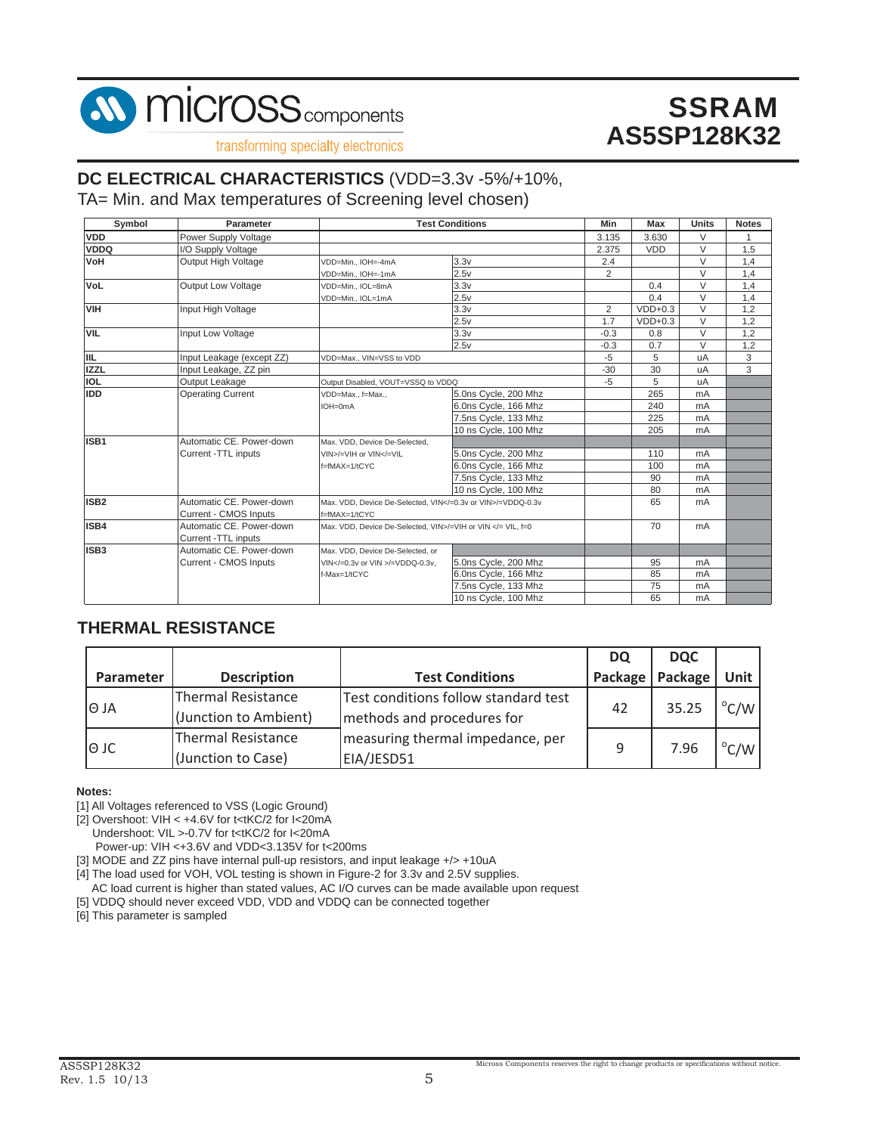

transforming specialty electronics

### **DC ELECTRICAL CHARACTERISTICS** (VDD=3.3v -5%/+10%,

TA= Min. and Max temperatures of Screening level chosen)

| Symbol           | Parameter                 |                                                                                                                                | <b>Test Conditions</b> | Min            | <b>Max</b> | <b>Units</b>   | <b>Notes</b> |
|------------------|---------------------------|--------------------------------------------------------------------------------------------------------------------------------|------------------------|----------------|------------|----------------|--------------|
| <b>VDD</b>       | Power Supply Voltage      |                                                                                                                                |                        | 3.135          | 3.630      | V              |              |
| <b>VDDQ</b>      | I/O Supply Voltage        |                                                                                                                                |                        | 2.375          | <b>VDD</b> | V              | 1.5          |
| <b>NoV</b>       | Output High Voltage       | VDD=Min., IOH=-4mA                                                                                                             | 3.3v                   | 2.4            |            | $\vee$         | 1,4          |
|                  |                           | VDD=Min., IOH=-1mA                                                                                                             | 2.5v                   | $\overline{2}$ |            | V              | 1,4          |
| <b>VoL</b>       | <b>Output Low Voltage</b> | VDD=Min., IOL=8mA                                                                                                              | 3.3v                   |                | 0.4        | $\vee$         | 1,4          |
|                  |                           | VDD=Min., IOL=1mA                                                                                                              | 2.5v                   |                | 0.4        | V              | 1,4          |
| <b>VIH</b>       | Input High Voltage        |                                                                                                                                | 3.3v                   | $\overline{2}$ | $VDD+0.3$  | V              | 1.2          |
|                  |                           |                                                                                                                                | 2.5v                   | 1.7            | $VDD+0.3$  | $\vee$         | 1,2          |
| <b>VIL</b>       | Input Low Voltage         |                                                                                                                                | 3.3v                   | $-0.3$         | 0.8        | V              | 1,2          |
|                  |                           |                                                                                                                                | 2.5v                   | $-0.3$         | 0.7        | $\vee$         | 1,2          |
| <b>IIL</b>       | Input Leakage (except ZZ) | VDD=Max., VIN=VSS to VDD                                                                                                       |                        | $-5$           | 5          | uA             | 3            |
| <b>IZZL</b>      | Input Leakage, ZZ pin     |                                                                                                                                | $-30$                  | 30             | uA         | 3              |              |
| IOL              | Output Leakage            | Output Disabled, VOUT=VSSQ to VDDQ                                                                                             | $-5$                   | 5              | uA         |                |              |
| <b>IDD</b>       | <b>Operating Current</b>  | VDD=Max., f=Max.,                                                                                                              | 5.0ns Cycle, 200 Mhz   |                | 265        | mA             |              |
|                  |                           | IOH=0mA                                                                                                                        | 6.0ns Cycle, 166 Mhz   |                | 240        | mA             |              |
|                  |                           |                                                                                                                                | 7.5ns Cycle, 133 Mhz   |                | 225        | mA             |              |
|                  |                           |                                                                                                                                | 10 ns Cycle, 100 Mhz   |                | 205        | mA             |              |
| ISB <sub>1</sub> | Automatic CE. Power-down  | Max, VDD, Device De-Selected.                                                                                                  |                        |                |            |                |              |
|                  | Current -TTL inputs       | VIN>/=VIH or VIN =VIL</td <td>5.0ns Cycle, 200 Mhz</td> <td></td> <td>110</td> <td>mA</td> <td></td>                           | 5.0ns Cycle, 200 Mhz   |                | 110        | mA             |              |
|                  |                           | f=fMAX=1/tCYC                                                                                                                  | 6.0ns Cycle, 166 Mhz   |                | 100        | mA             |              |
|                  |                           |                                                                                                                                | 7.5ns Cycle, 133 Mhz   |                | 90         | mA             |              |
|                  |                           |                                                                                                                                | 10 ns Cvcle, 100 Mhz   |                | 80         | mA             |              |
| ISB <sub>2</sub> | Automatic CE. Power-down  | Max. VDD, Device De-Selected, VIN =0.3v or VIN /=VDDQ-0.3v                                                                     |                        |                | 65         | mA             |              |
|                  | Current - CMOS Inputs     | f=fMAX=1/tCYC                                                                                                                  |                        |                |            |                |              |
| <b>ISB4</b>      | Automatic CE. Power-down  | Max, VDD, Device De-Selected, VIN>/=VIH or VIN = VIL, f=0</td <td></td> <td></td> <td>70</td> <td>m<sub>A</sub></td> <td></td> |                        |                | 70         | m <sub>A</sub> |              |
|                  | Current -TTL inputs       |                                                                                                                                |                        |                |            |                |              |
| ISB <sub>3</sub> | Automatic CE. Power-down  | Max. VDD, Device De-Selected, or                                                                                               |                        |                |            |                |              |
|                  | Current - CMOS Inputs     | VIN =0.3v or VIN /=VDDQ-0.3v.                                                                                                  | 5.0ns Cycle, 200 Mhz   |                | 95         | mA             |              |
|                  |                           | $f-Max=1/tCYC$                                                                                                                 | 6.0ns Cycle, 166 Mhz   |                | 85         | mA             |              |
|                  |                           |                                                                                                                                | 7.5ns Cycle, 133 Mhz   |                | 75         | mA             |              |
|                  |                           |                                                                                                                                | 10 ns Cycle, 100 Mhz   |                | 65         | mA             |              |

#### **THERMAL RESISTANCE**

|             |                           |                                      | <b>DQ</b> | <b>DQC</b> |                         |  |
|-------------|---------------------------|--------------------------------------|-----------|------------|-------------------------|--|
| Parameter   | <b>Description</b>        | <b>Test Conditions</b>               | Package   | Package    | <b>Unit</b>             |  |
| IO JA       | <b>Thermal Resistance</b> | Test conditions follow standard test | 42        | 35.25      | $\mathrm{C}/\mathrm{W}$ |  |
|             | (Junction to Ambient)     | methods and procedures for           |           |            |                         |  |
| $\Theta$ JC | <b>Thermal Resistance</b> | measuring thermal impedance, per     | 9         | 7.96       | $\mathrm{C/W}$          |  |
|             | (Junction to Case)        | EIA/JESD51                           |           |            |                         |  |

**Notes:**

[1] All Voltages referenced to VSS (Logic Ground)

[2] Overshoot: VIH < +4.6V for t<tKC/2 for I<20mA

Undershoot: VIL >-0.7V for t<tKC/2 for I<20mA

Power-up: VIH <+3.6V and VDD<3.135V for t<200ms

[3] MODE and ZZ pins have internal pull-up resistors, and input leakage +/> +10uA

[4] The load used for VOH, VOL testing is shown in Figure-2 for 3.3v and 2.5V supplies.

AC load current is higher than stated values, AC I/O curves can be made available upon request

[5] VDDQ should never exceed VDD, VDD and VDDQ can be connected together

[6] This parameter is sampled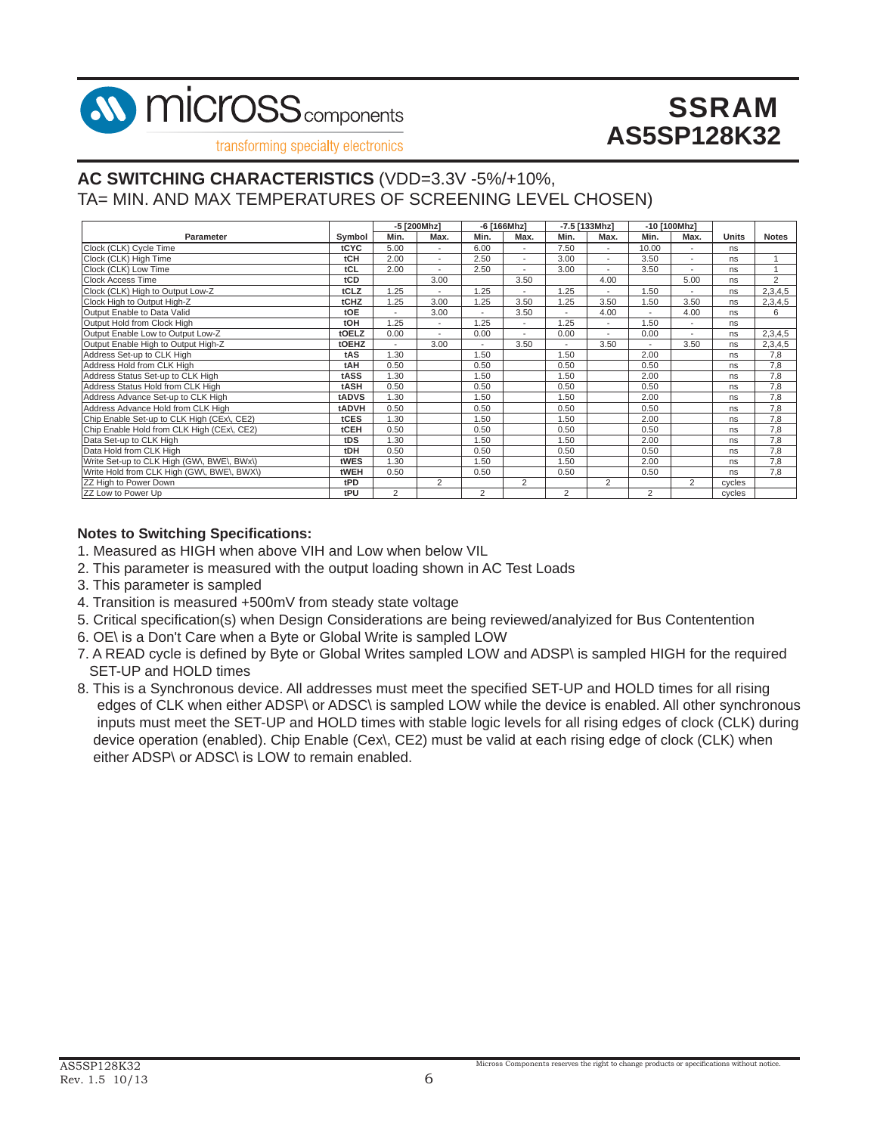

transforming specialty electronics

### **AC SWITCHING CHARACTERISTICS** (VDD=3.3V -5%/+10%, TA= MIN. AND MAX TEMPERATURES OF SCREENING LEVEL CHOSEN)

|                                            |        | -5 [200Mhz]    |                          |                | -6 [166Mhz]              |                | $-7.5$ [133Mhz]          | -10 [100Mhz]   |                          |              |              |
|--------------------------------------------|--------|----------------|--------------------------|----------------|--------------------------|----------------|--------------------------|----------------|--------------------------|--------------|--------------|
| <b>Parameter</b>                           | Symbol | Min.           | Max.                     | Min.           | Max.                     | Min.           | Max.                     | Min.           | Max.                     | <b>Units</b> | <b>Notes</b> |
| Clock (CLK) Cycle Time                     | tCYC   | 5.00           | $\overline{\phantom{a}}$ | 6.00           | $\overline{\phantom{a}}$ | 7.50           | ٠                        | 10.00          |                          | ns           |              |
| Clock (CLK) High Time                      | tCH    | 2.00           | ÷                        | 2.50           | $\overline{\phantom{a}}$ | 3.00           | $\overline{\phantom{a}}$ | 3.50           | ٠                        | ns           |              |
| Clock (CLK) Low Time                       | tCL    | 2.00           | ÷                        | 2.50           | $\overline{\phantom{a}}$ | 3.00           | ٠                        | 3.50           | ٠                        | ns           |              |
| <b>Clock Access Time</b>                   | tCD    |                | 3.00                     |                | 3.50                     |                | 4.00                     |                | 5.00                     | ns           | 2            |
| Clock (CLK) High to Output Low-Z           | tCLZ   | .25            | ٠                        | .25            | ٠                        | 1.25           | ٠                        | 1.50           |                          | ns           | 2,3,4,5      |
| Clock High to Output High-Z                | tCHZ   | .25            | 3.00                     | .25            | 3.50                     | 1.25           | 3.50                     | 1.50           | 3.50                     | ns           | 2,3,4,5      |
| Output Enable to Data Valid                | tOE    |                | 3.00                     |                | 3.50                     |                | 4.00                     |                | 4.00                     | ns           | 6            |
| Output Hold from Clock High                | tOH    | .25            | ٠                        | 1.25           | ٠                        | 1.25           | $\overline{a}$           | 1.50           | ٠                        | ns           |              |
| Output Enable Low to Output Low-Z          | tOELZ  | 0.00           | $\blacksquare$           | 0.00           | $\overline{\phantom{a}}$ | 0.00           | ٠                        | 0.00           | $\overline{\phantom{a}}$ | ns           | 2,3,4,5      |
| Output Enable High to Output High-Z        | tOEHZ  |                | 3.00                     |                | 3.50                     |                | 3.50                     |                | 3.50                     | ns           | 2,3,4,5      |
| Address Set-up to CLK High                 | tAS    | 1.30           |                          | 1.50           |                          | 1.50           |                          | 2.00           |                          | ns           | 7,8          |
| Address Hold from CLK High                 | tAH    | 0.50           |                          | 0.50           |                          | 0.50           |                          | 0.50           |                          | ns           | 7,8          |
| Address Status Set-up to CLK High          | tASS   | 1.30           |                          | 1.50           |                          | 1.50           |                          | 2.00           |                          | ns           | 7.8          |
| Address Status Hold from CLK High          | tASH   | 0.50           |                          | 0.50           |                          | 0.50           |                          | 0.50           |                          | ns           | 7,8          |
| Address Advance Set-up to CLK High         | tADVS  | 1.30           |                          | 1.50           |                          | 1.50           |                          | 2.00           |                          | ns           | 7,8          |
| Address Advance Hold from CLK High         | tADVH  | 0.50           |                          | 0.50           |                          | 0.50           |                          | 0.50           |                          | ns           | 7,8          |
| Chip Enable Set-up to CLK High (CEx), CE2) | tCES   | 1.30           |                          | 1.50           |                          | 1.50           |                          | 2.00           |                          | ns           | 7,8          |
| Chip Enable Hold from CLK High (CEx\, CE2) | tCEH   | 0.50           |                          | 0.50           |                          | 0.50           |                          | 0.50           |                          | ns           | 7,8          |
| Data Set-up to CLK High                    | tDS    | 1.30           |                          | .50            |                          | 1.50           |                          | 2.00           |                          | ns           | 7,8          |
| Data Hold from CLK High                    | tDH    | 0.50           |                          | 0.50           |                          | 0.50           |                          | 0.50           |                          | ns           | 7,8          |
| Write Set-up to CLK High (GW\, BWE\, BWx\) | tWES   | 1.30           |                          | 1.50           |                          | 1.50           |                          | 2.00           |                          | ns           | 7,8          |
| Write Hold from CLK High (GW\, BWE\, BWX\) | tWEH   | 0.50           |                          | 0.50           |                          | 0.50           |                          | 0.50           |                          | ns           | 7,8          |
| ZZ High to Power Down                      | tPD    |                | $\overline{2}$           |                | 2                        |                | 2                        |                | $\overline{2}$           | cycles       |              |
| ZZ Low to Power Up                         | tPU    | $\overline{2}$ |                          | $\overline{2}$ |                          | $\overline{2}$ |                          | $\overline{2}$ |                          | cvcles       |              |

#### **Notes to Switching Specifications:**

- 1. Measured as HIGH when above VIH and Low when below VIL
- 2. This parameter is measured with the output loading shown in AC Test Loads
- 3. This parameter is sampled
- 4. Transition is measured +500mV from steady state voltage
- 5. Critical specification(s) when Design Considerations are being reviewed/analyized for Bus Contentention
- 6. OE\ is a Don't Care when a Byte or Global Write is sampled LOW
- 7. A READ cycle is defined by Byte or Global Writes sampled LOW and ADSP\ is sampled HIGH for the required SET-UP and HOLD times
- 8. This is a Synchronous device. All addresses must meet the specified SET-UP and HOLD times for all rising edges of CLK when either ADSP\ or ADSC\ is sampled LOW while the device is enabled. All other synchronous inputs must meet the SET-UP and HOLD times with stable logic levels for all rising edges of clock (CLK) during device operation (enabled). Chip Enable (Cex\, CE2) must be valid at each rising edge of clock (CLK) when either ADSP\ or ADSC\ is LOW to remain enabled.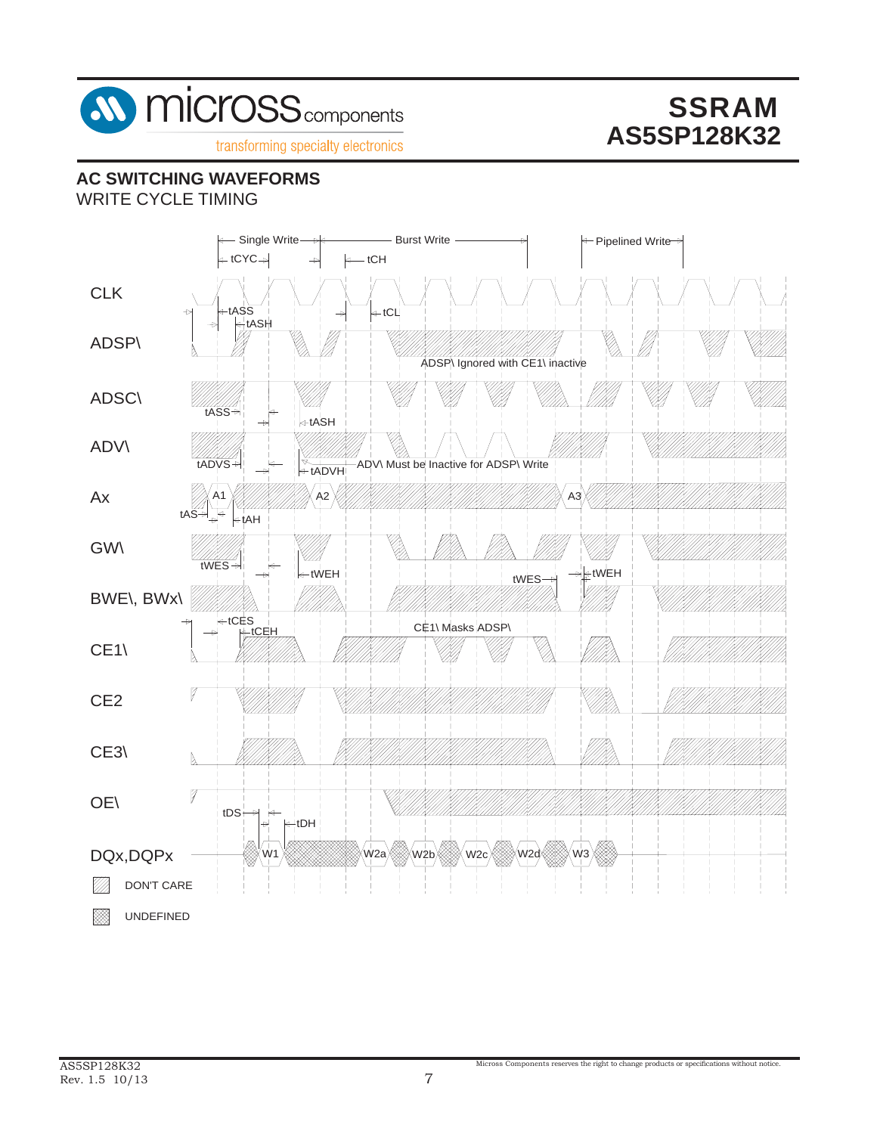

## **AC SWITCHING WAVEFORMS**

WRITE CYCLE TIMING

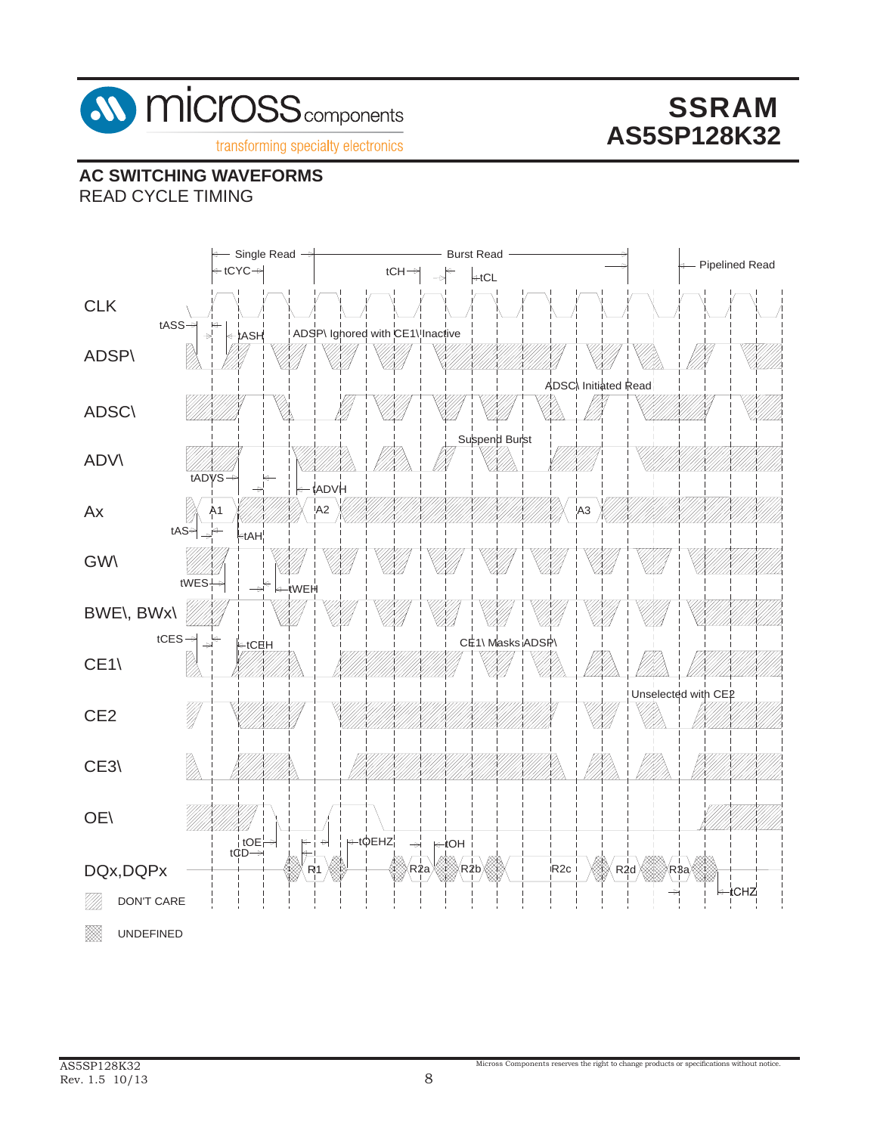

# **AC SWITCHING WAVEFORMS**

READ CYCLE TIMING

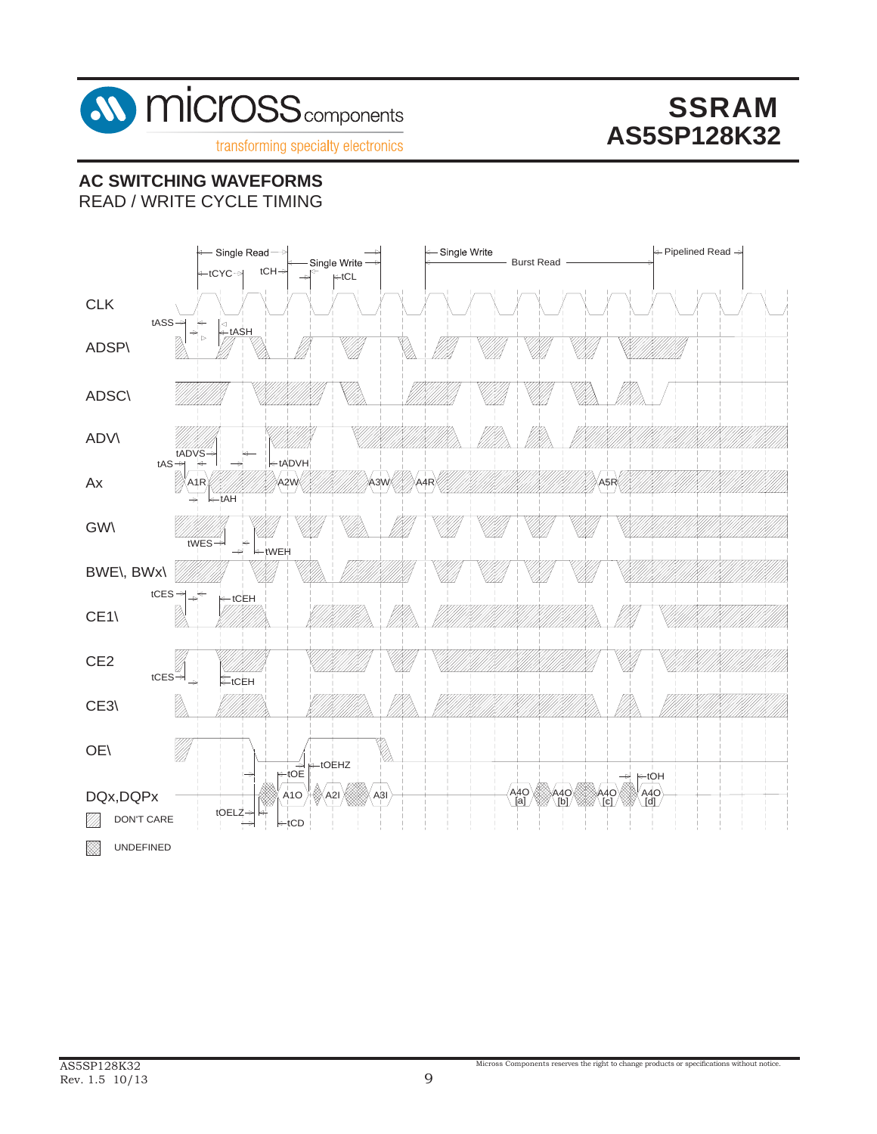

# **AC SWITCHING WAVEFORMS**

READ / WRITE CYCLE TIMING

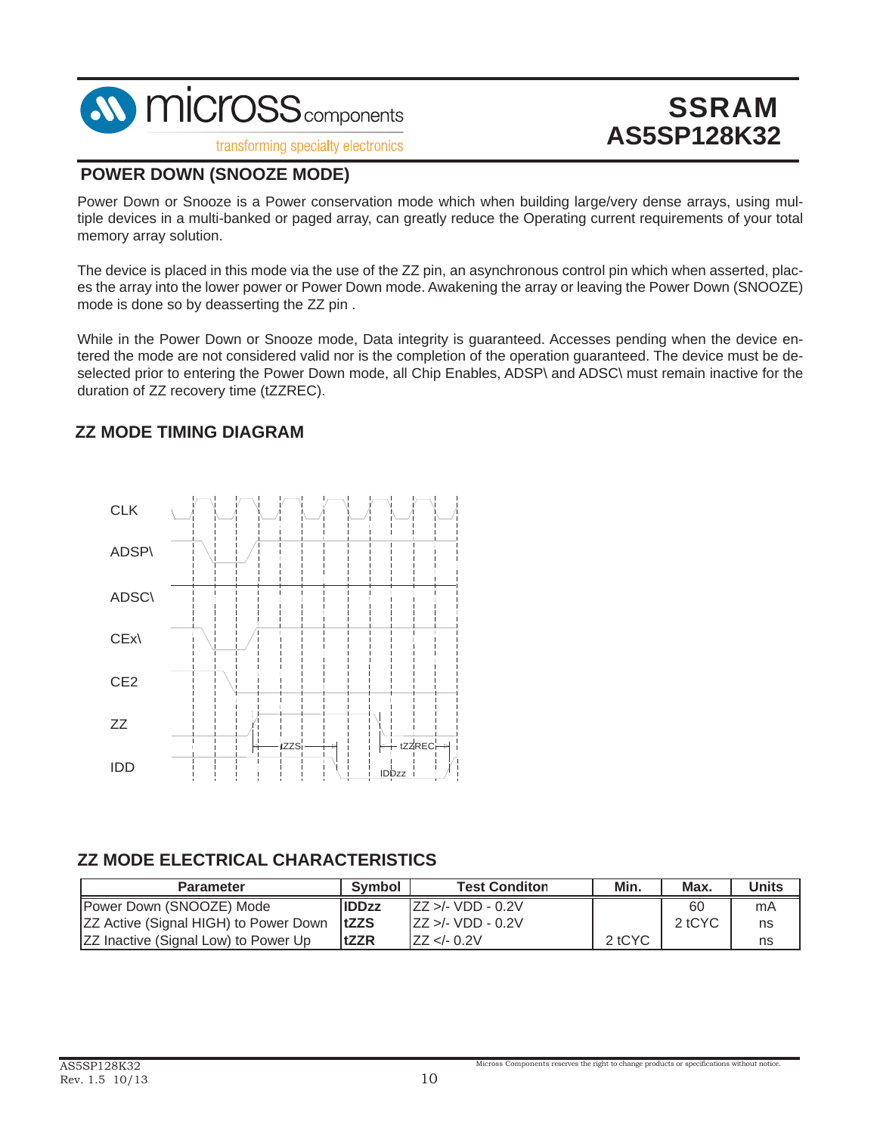

transforming specialty electronics

# **SSRAM AS5SP128K32**

#### **POWER DOWN (SNOOZE MODE)**

Power Down or Snooze is a Power conservation mode which when building large/very dense arrays, using multiple devices in a multi-banked or paged array, can greatly reduce the Operating current requirements of your total memory array solution.

The device is placed in this mode via the use of the ZZ pin, an asynchronous control pin which when asserted, places the array into the lower power or Power Down mode. Awakening the array or leaving the Power Down (SNOOZE) mode is done so by deasserting the ZZ pin .

While in the Power Down or Snooze mode, Data integrity is guaranteed. Accesses pending when the device entered the mode are not considered valid nor is the completion of the operation guaranteed. The device must be deselected prior to entering the Power Down mode, all Chip Enables, ADSP\ and ADSC\ must remain inactive for the duration of ZZ recovery time (tZZREC).

### **ZZ MODE TIMING DIAGRAM**



## **ZZ MODE ELECTRICAL CHARACTERISTICS**

| <b>Parameter</b>                             | Symbol       | <b>Test Conditon</b>         | Min.   | Max.   | Units |
|----------------------------------------------|--------------|------------------------------|--------|--------|-------|
| Power Down (SNOOZE) Mode                     | <b>IDDzz</b> | $\text{ZZ} > $ /- VDD - 0.2V |        | 60     | mA    |
| <b>ZZ Active (Signal HIGH) to Power Down</b> | <b>ItZZS</b> | IZZ >/- VDD - 0.2V           |        | 2 tCYC | ns    |
| <b>ZZ Inactive (Signal Low) to Power Up</b>  | <b>ItZZR</b> | ZZ < 0.2V                    | 2 tCYC |        | ns    |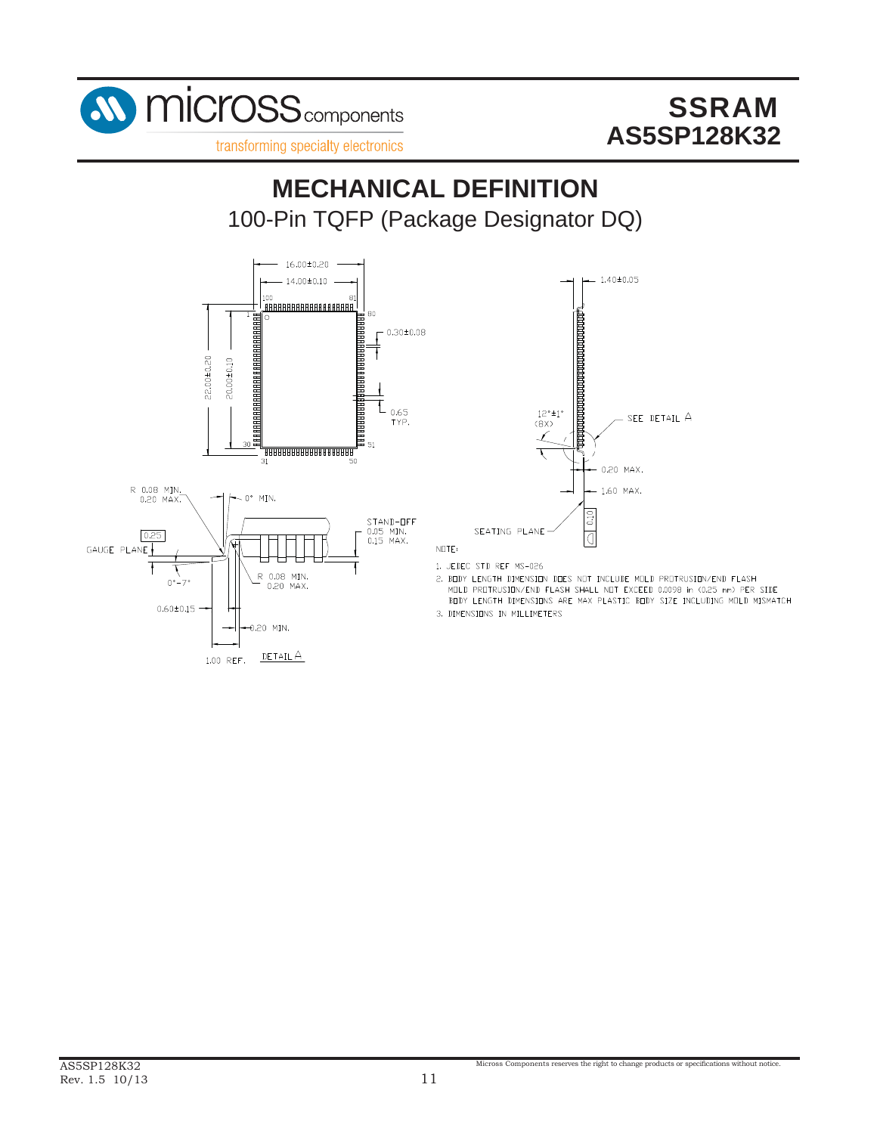

100-Pin TQFP (Package Designator DQ) **MECHANICAL DEFINITION**







1. JEDEC STD REF MS-026

2. BODY LENGTH DIMENSION DOES NOT INCLUDE MOLD PROTRUSION/END FLASH MOLD PROTRUSION/END FLASH SHALL NOT EXCEED 0.0098 in (0.25 mm) PER SIDE BODY LENGTH DIMENSIONS ARE MAX PLASTIC BODY SIZE INCLUDING MOLD MISMATCH

Micross Components reserves the right to change products or specifications without notice.

3. DIMENSIONS IN MILLIMETERS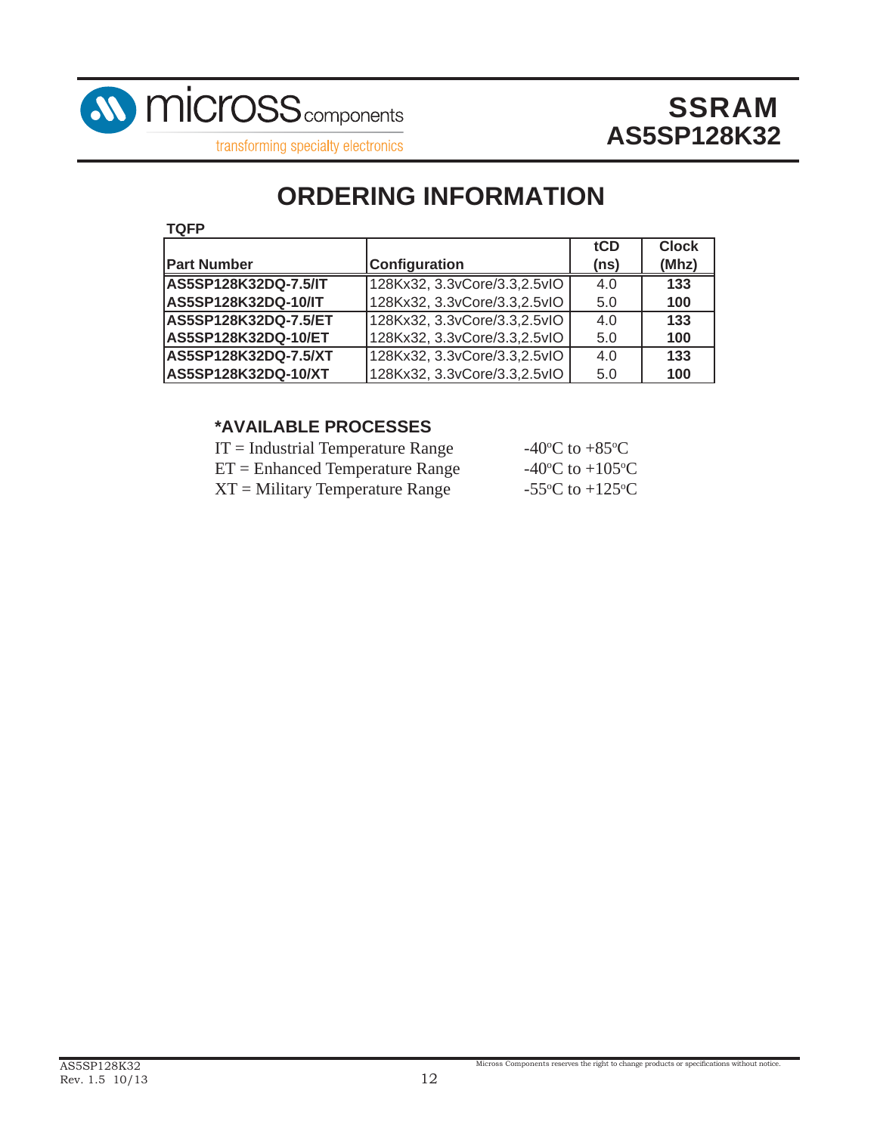

transforming specialty electronics

# **ORDERING INFORMATION**

| . . |  |
|-----|--|
|-----|--|

|                            |                               | tCD  | <b>Clock</b> |
|----------------------------|-------------------------------|------|--------------|
| <b>Part Number</b>         | <b>Configuration</b>          | (ns) | (Mhz)        |
| AS5SP128K32DQ-7.5/IT       | 128Kx32, 3.3vCore/3.3, 2.5vIO | 4.0  | 133          |
| <b>AS5SP128K32DQ-10/IT</b> | 128Kx32, 3.3vCore/3.3, 2.5vlO | 5.0  | 100          |
| AS5SP128K32DQ-7.5/ET       | 128Kx32, 3.3vCore/3.3, 2.5vIO | 4.0  | 133          |
| AS5SP128K32DQ-10/ET        | 128Kx32, 3.3vCore/3.3, 2.5vlO | 5.0  | 100          |
| AS5SP128K32DQ-7.5/XT       | 128Kx32, 3.3vCore/3.3, 2.5vIO | 4.0  | 133          |
| AS5SP128K32DQ-10/XT        | 128Kx32, 3.3vCore/3.3, 2.5vlO | 5.0  | 100          |

### **\*AVAILABLE PROCESSES**

| $IT = Industrial Temperature Range$ | -40 <sup>o</sup> C to +85 <sup>o</sup> C      |
|-------------------------------------|-----------------------------------------------|
| $ET =$ Enhanced Temperature Range   | -40 $\rm{^{\circ}C}$ to +105 $\rm{^{\circ}C}$ |
| $XT = Military Temperature Range$   | -55 $\rm{^{\circ}C}$ to +125 $\rm{^{\circ}C}$ |